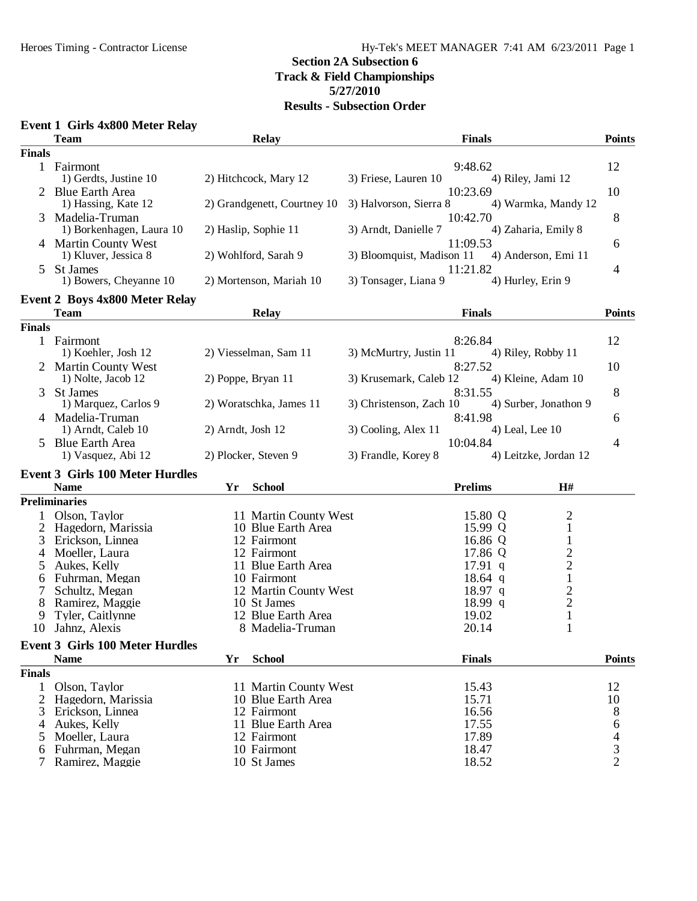## **5/27/2010**

| Event 1 Girls 4x800 Meter Relay |  |  |  |  |
|---------------------------------|--|--|--|--|
|---------------------------------|--|--|--|--|

|               | <b>Team</b>                                     | <b>Relay</b>                | <b>Finals</b>                                                | <b>Points</b>  |
|---------------|-------------------------------------------------|-----------------------------|--------------------------------------------------------------|----------------|
| <b>Finals</b> |                                                 |                             |                                                              |                |
|               | 1 Fairmont                                      |                             | 9:48.62                                                      | 12             |
|               | 1) Gerdts, Justine 10                           | 2) Hitchcock, Mary 12       | 3) Friese, Lauren 10<br>4) Riley, Jami 12                    |                |
|               | 2 Blue Earth Area                               |                             | 10:23.69                                                     | 10             |
|               | 1) Hassing, Kate 12                             | 2) Grandgenett, Courtney 10 | 3) Halvorson, Sierra 8<br>4) Warmka, Mandy 12                |                |
| 3             | Madelia-Truman                                  |                             | 10:42.70                                                     | 8              |
|               | 1) Borkenhagen, Laura 10                        | 2) Haslip, Sophie 11        | 4) Zaharia, Emily 8<br>3) Arndt, Danielle 7                  |                |
|               | 4 Martin County West                            | 2) Wohlford, Sarah 9        | 11:09.53<br>3) Bloomquist, Madison 11<br>4) Anderson, Emi 11 | 6              |
|               | 1) Kluver, Jessica 8<br>St James                |                             | 11:21.82                                                     |                |
| 5.            | 1) Bowers, Cheyanne 10                          | 2) Mortenson, Mariah 10     | 3) Tonsager, Liana 9<br>4) Hurley, Erin 9                    | 4              |
|               |                                                 |                             |                                                              |                |
|               | <b>Event 2 Boys 4x800 Meter Relay</b>           |                             |                                                              |                |
|               | <b>Team</b>                                     | <b>Relay</b>                | <b>Finals</b>                                                | <b>Points</b>  |
| <b>Finals</b> |                                                 |                             |                                                              |                |
|               | 1 Fairmont                                      |                             | 8:26.84                                                      | 12             |
|               | 1) Koehler, Josh 12                             | 2) Viesselman, Sam 11       | 3) McMurtry, Justin 11<br>4) Riley, Robby 11                 |                |
| 2             | <b>Martin County West</b><br>1) Nolte, Jacob 12 | 2) Poppe, Bryan 11          | 8:27.52<br>3) Krusemark, Caleb 12<br>4) Kleine, Adam 10      | 10             |
| 3             | <b>St James</b>                                 |                             | 8:31.55                                                      | 8              |
|               | 1) Marquez, Carlos 9                            | 2) Woratschka, James 11     | 4) Surber, Jonathon 9<br>3) Christenson, Zach 10             |                |
|               | 4 Madelia-Truman                                |                             | 8:41.98                                                      |                |
|               | 1) Arndt, Caleb 10                              | 2) Arndt, Josh 12           | 3) Cooling, Alex 11<br>4) Leal, Lee 10                       | 6              |
|               | <b>Blue Earth Area</b>                          |                             | 10:04.84                                                     | 4              |
|               | 1) Vasquez, Abi 12                              | 2) Plocker, Steven 9        | 3) Frandle, Korey 8<br>4) Leitzke, Jordan 12                 |                |
|               |                                                 |                             |                                                              |                |
|               | <b>Event 3 Girls 100 Meter Hurdles</b>          |                             |                                                              |                |
|               | <b>Name</b>                                     | <b>School</b><br>Yr         | <b>Prelims</b><br>H#                                         |                |
|               | <b>Preliminaries</b>                            |                             |                                                              |                |
| 1             | Olson, Taylor                                   | 11 Martin County West       | $\overline{c}$<br>15.80 Q                                    |                |
| 2             | Hagedorn, Marissia                              | 10 Blue Earth Area          | $\mathbf 1$<br>15.99 Q                                       |                |
| 3             | Erickson, Linnea                                | 12 Fairmont                 | $\mathbf 1$<br>16.86 Q                                       |                |
| 4             | Moeller, Laura                                  | 12 Fairmont                 | $\begin{array}{c} 2 \\ 2 \\ 1 \end{array}$<br>17.86 Q        |                |
| 5             | Aukes, Kelly                                    | 11 Blue Earth Area          | $17.91$ q                                                    |                |
| 6             | Fuhrman, Megan                                  | 10 Fairmont                 | 18.64 q                                                      |                |
|               | Schultz, Megan                                  | 12 Martin County West       | $\begin{array}{c} 2 \\ 2 \\ 1 \end{array}$<br>18.97 q        |                |
| 8             | Ramirez, Maggie                                 | 10 St James                 | 18.99 q                                                      |                |
| 9             | Tyler, Caitlynne                                | 12 Blue Earth Area          | 19.02                                                        |                |
| 10            | Jahnz, Alexis                                   | 8 Madelia-Truman            | $\mathbf{1}$<br>20.14                                        |                |
|               | <b>Event 3 Girls 100 Meter Hurdles</b>          |                             |                                                              |                |
|               | <b>Name</b>                                     | Yr<br><b>School</b>         | <b>Finals</b>                                                | <b>Points</b>  |
| <b>Finals</b> |                                                 |                             |                                                              |                |
| 1             | Olson, Taylor                                   | 11 Martin County West       | 15.43                                                        | 12             |
| 2             | Hagedorn, Marissia                              | 10 Blue Earth Area          | 15.71                                                        | 10             |
| 3             | Erickson, Linnea                                | 12 Fairmont                 | 16.56                                                        | 8              |
| 4             | Aukes, Kelly                                    | 11 Blue Earth Area          | 17.55                                                        | 6              |
| 5             | Moeller, Laura                                  | 12 Fairmont                 | 17.89                                                        | $\overline{4}$ |
| 6             | Fuhrman, Megan                                  | 10 Fairmont                 | 18.47                                                        | $\frac{3}{2}$  |
| 7             | Ramirez, Maggie                                 | 10 St James                 | 18.52                                                        |                |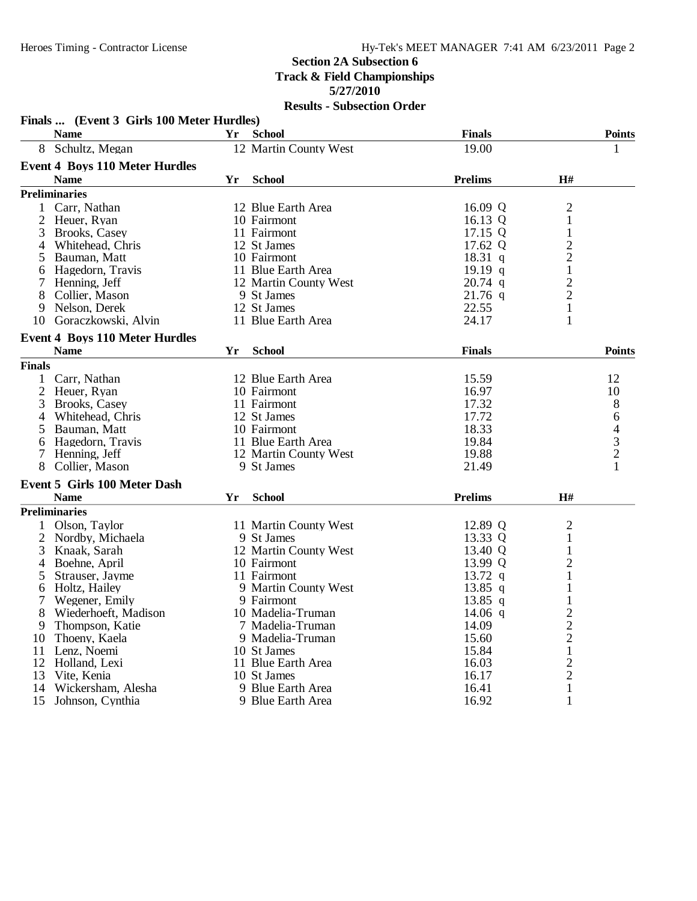|                | Finals  (Event 3 Girls 100 Meter Hurdles)<br><b>Name</b> | Yr | <b>School</b>         | <b>Finals</b>  |                                            | <b>Points</b> |
|----------------|----------------------------------------------------------|----|-----------------------|----------------|--------------------------------------------|---------------|
|                | 8 Schultz, Megan                                         |    | 12 Martin County West | 19.00          |                                            | 1             |
|                | <b>Event 4 Boys 110 Meter Hurdles</b>                    |    |                       |                |                                            |               |
|                | <b>Name</b>                                              | Yr | <b>School</b>         | <b>Prelims</b> | H#                                         |               |
|                | <b>Preliminaries</b>                                     |    |                       |                |                                            |               |
| 1              | Carr, Nathan                                             |    | 12 Blue Earth Area    | 16.09 Q        | $\overline{c}$                             |               |
| 2              | Heuer, Ryan                                              |    | 10 Fairmont           | 16.13 Q        | $\mathbf{1}$                               |               |
| 3              | Brooks, Casey                                            |    | 11 Fairmont           | 17.15 Q        | $\mathbf{1}$                               |               |
| 4              | Whitehead, Chris                                         |    | 12 St James           | 17.62 Q        |                                            |               |
| 5              | Bauman, Matt                                             |    | 10 Fairmont           | 18.31 q        | $\begin{array}{c} 2 \\ 2 \\ 1 \end{array}$ |               |
| 6              | Hagedorn, Travis                                         |    | 11 Blue Earth Area    | 19.19q         |                                            |               |
| 7              | Henning, Jeff                                            |    | 12 Martin County West | $20.74$ q      |                                            |               |
| 8              | Collier, Mason                                           |    | 9 St James            | $21.76$ q      | $\frac{2}{2}$                              |               |
| 9              | Nelson, Derek                                            |    | 12 St James           | 22.55          | $\overline{1}$                             |               |
|                | 10 Goraczkowski, Alvin                                   |    | 11 Blue Earth Area    | 24.17          | $\mathbf{1}$                               |               |
|                |                                                          |    |                       |                |                                            |               |
|                | <b>Event 4 Boys 110 Meter Hurdles</b><br><b>Name</b>     | Yr | <b>School</b>         | <b>Finals</b>  |                                            | <b>Points</b> |
| <b>Finals</b>  |                                                          |    |                       |                |                                            |               |
|                |                                                          |    | 12 Blue Earth Area    |                |                                            |               |
| 1              | Carr, Nathan                                             |    |                       | 15.59          |                                            | 12            |
| $\overline{2}$ | Heuer, Ryan                                              |    | 10 Fairmont           | 16.97          |                                            | 10            |
| 3              | Brooks, Casey                                            |    | 11 Fairmont           | 17.32          |                                            | 8             |
|                | Whitehead, Chris                                         |    | 12 St James           | 17.72          |                                            | 6             |
| 5              | Bauman, Matt                                             |    | 10 Fairmont           | 18.33          |                                            | $\frac{4}{3}$ |
| 6              | Hagedorn, Travis                                         |    | 11 Blue Earth Area    | 19.84          |                                            |               |
|                | 7 Henning, Jeff                                          |    | 12 Martin County West | 19.88          |                                            |               |
| 8              | Collier, Mason                                           |    | 9 St James            | 21.49          |                                            | 1             |
|                | <b>Event 5 Girls 100 Meter Dash</b>                      |    |                       |                |                                            |               |
|                | <b>Name</b>                                              | Yr | <b>School</b>         | <b>Prelims</b> | H#                                         |               |
|                | <b>Preliminaries</b>                                     |    |                       |                |                                            |               |
|                | Olson, Taylor                                            |    | 11 Martin County West | 12.89 Q        | $\overline{c}$                             |               |
| 2              | Nordby, Michaela                                         |    | 9 St James            | 13.33 Q        | $\mathbf{1}$                               |               |
| 3              | Knaak, Sarah                                             |    | 12 Martin County West | 13.40 Q        | $\mathbf{1}$                               |               |
| 4              | Boehne, April                                            |    | 10 Fairmont           | 13.99 Q        | $\overline{c}$                             |               |
| 5              | Strauser, Jayme                                          |    | 11 Fairmont           | 13.72 q        | 1                                          |               |
| 6              | Holtz, Hailey                                            |    | 9 Martin County West  | 13.85 q        |                                            |               |
| 7              | Wegener, Emily                                           |    | 9 Fairmont            | $13.85$ q      | 1                                          |               |
| 8              | Wiederhoeft, Madison                                     |    | 10 Madelia-Truman     | $14.06$ q      | $\overline{2}$                             |               |
| 9              | Thompson, Katie                                          |    | 7 Madelia-Truman      | 14.09          | $\overline{c}$                             |               |
| 10             | Thoeny, Kaela                                            |    | 9 Madelia-Truman      | 15.60          | $\overline{c}$                             |               |
| 11             | Lenz, Noemi                                              |    | 10 St James           | 15.84          | $\mathbf{1}$                               |               |
| 12             | Holland, Lexi                                            |    | 11 Blue Earth Area    | 16.03          | 2                                          |               |
| 13             | Vite, Kenia                                              |    | 10 St James           | 16.17          | $\overline{2}$                             |               |
| 14             | Wickersham, Alesha                                       |    | 9 Blue Earth Area     | 16.41          | $\mathbf{1}$                               |               |
| 15             | Johnson, Cynthia                                         |    | 9 Blue Earth Area     | 16.92          | $\mathbf{1}$                               |               |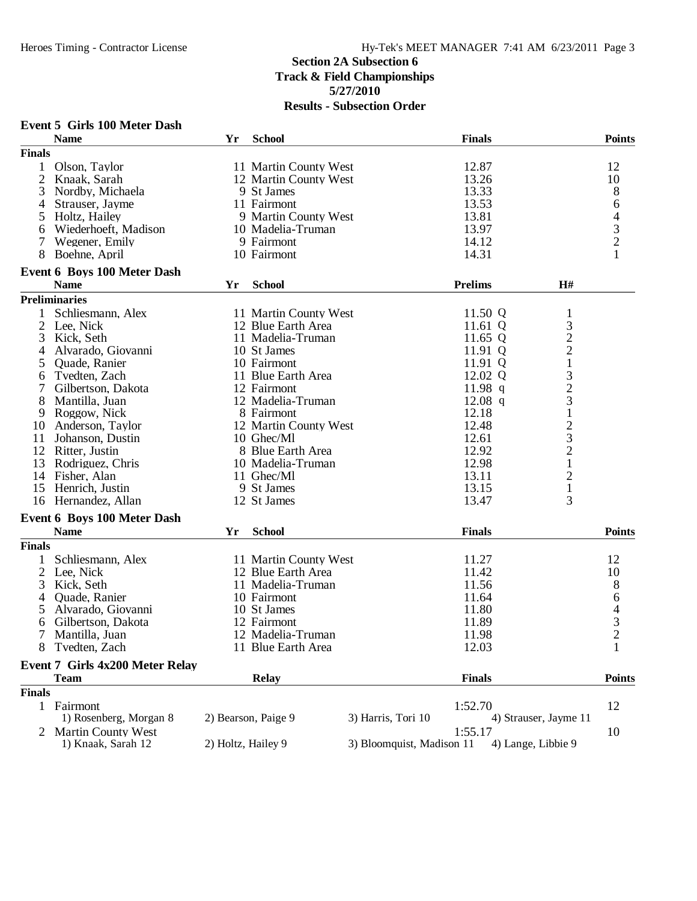|               | <b>Event 5 Girls 100 Meter Dash</b><br><b>Name</b> | Yr                 | <b>School</b>         |                           | <b>Finals</b>  |                                            | <b>Points</b> |
|---------------|----------------------------------------------------|--------------------|-----------------------|---------------------------|----------------|--------------------------------------------|---------------|
| <b>Finals</b> |                                                    |                    |                       |                           |                |                                            |               |
| $\mathbf{1}$  | Olson, Taylor                                      |                    | 11 Martin County West |                           | 12.87          |                                            | 12            |
| 2             | Knaak, Sarah                                       |                    | 12 Martin County West |                           | 13.26          |                                            | 10            |
| 3             | Nordby, Michaela                                   |                    | 9 St James            |                           | 13.33          |                                            | 8             |
| 4             | Strauser, Jayme                                    |                    | 11 Fairmont           |                           | 13.53          |                                            | 6             |
| 5             | Holtz, Hailey                                      |                    | 9 Martin County West  |                           | 13.81          |                                            |               |
| 6             | Wiederhoeft, Madison                               |                    | 10 Madelia-Truman     |                           | 13.97          |                                            | $\frac{4}{3}$ |
| 7             | Wegener, Emily                                     |                    | 9 Fairmont            |                           | 14.12          |                                            |               |
| 8             | Boehne, April                                      |                    | 10 Fairmont           |                           | 14.31          |                                            |               |
|               | <b>Event 6 Boys 100 Meter Dash</b>                 |                    |                       |                           |                |                                            |               |
|               | <b>Name</b>                                        | Yr                 | <b>School</b>         |                           | <b>Prelims</b> | H#                                         |               |
|               | <b>Preliminaries</b>                               |                    |                       |                           |                |                                            |               |
|               | Schliesmann, Alex                                  |                    | 11 Martin County West |                           | 11.50 Q        | $\mathbf{1}$                               |               |
|               | 2 Lee, Nick                                        |                    | 12 Blue Earth Area    |                           | 11.61 $Q$      | 3                                          |               |
| 3             | Kick, Seth                                         |                    | 11 Madelia-Truman     |                           | 11.65 $Q$      |                                            |               |
| 4             | Alvarado, Giovanni                                 |                    | 10 St James           |                           | 11.91 Q        | $\begin{array}{c} 2 \\ 2 \\ 1 \end{array}$ |               |
| 5             | Quade, Ranier                                      |                    | 10 Fairmont           |                           | 11.91 Q        |                                            |               |
| 6             | Tvedten, Zach                                      |                    | 11 Blue Earth Area    |                           | 12.02 Q        | 3                                          |               |
| 7             | Gilbertson, Dakota                                 |                    | 12 Fairmont           |                           | 11.98 $q$      |                                            |               |
| 8             | Mantilla, Juan                                     |                    | 12 Madelia-Truman     |                           | $12.08$ q      | $\frac{2}{3}$                              |               |
| 9             | Roggow, Nick                                       |                    | 8 Fairmont            |                           | 12.18          |                                            |               |
| 10            | Anderson, Taylor                                   |                    | 12 Martin County West |                           | 12.48          |                                            |               |
| 11            | Johanson, Dustin                                   |                    | 10 Ghec/Ml            |                           | 12.61          | $\frac{1}{2}$                              |               |
|               | 12 Ritter, Justin                                  |                    | 8 Blue Earth Area     |                           | 12.92          | $\overline{c}$                             |               |
| 13            | Rodriguez, Chris                                   |                    | 10 Madelia-Truman     |                           | 12.98          | $\mathbf{1}$                               |               |
|               | 14 Fisher, Alan                                    |                    | 11 Ghec/Ml            |                           | 13.11          | $\overline{c}$                             |               |
|               | 15 Henrich, Justin                                 |                    | 9 St James            |                           | 13.15          | $\mathbf{1}$                               |               |
|               | 16 Hernandez, Allan                                |                    | 12 St James           |                           | 13.47          | 3                                          |               |
|               | <b>Event 6 Boys 100 Meter Dash</b>                 |                    |                       |                           |                |                                            |               |
|               | <b>Name</b>                                        | Yr                 | <b>School</b>         |                           | <b>Finals</b>  |                                            | <b>Points</b> |
| <b>Finals</b> |                                                    |                    |                       |                           |                |                                            |               |
| $\mathbf{1}$  | Schliesmann, Alex                                  |                    | 11 Martin County West |                           | 11.27          |                                            | 12            |
|               | 2 Lee, Nick                                        |                    | 12 Blue Earth Area    |                           | 11.42          |                                            | 10            |
| 3             | Kick, Seth                                         |                    | 11 Madelia-Truman     |                           | 11.56          |                                            | 8             |
| 4             | Quade, Ranier                                      |                    | 10 Fairmont           |                           | 11.64          |                                            | 6             |
| 5             | Alvarado, Giovanni                                 |                    | 10 St James           |                           | 11.80          |                                            | 4             |
| 6             | Gilbertson, Dakota                                 |                    | 12 Fairmont           |                           | 11.89          |                                            | 3             |
|               | Mantilla, Juan                                     |                    | 12 Madelia-Truman     |                           | 11.98          |                                            |               |
| 8             | Tvedten, Zach                                      |                    | 11 Blue Earth Area    |                           | 12.03          |                                            | $\frac{2}{1}$ |
|               |                                                    |                    |                       |                           |                |                                            |               |
|               | <b>Event 7 Girls 4x200 Meter Relay</b>             |                    |                       |                           |                |                                            |               |
|               | <b>Team</b>                                        |                    | <b>Relay</b>          |                           | <b>Finals</b>  |                                            | <b>Points</b> |
| <b>Finals</b> |                                                    |                    |                       |                           |                |                                            |               |
|               | 1 Fairmont                                         |                    |                       |                           | 1:52.70        |                                            | 12            |
|               | 1) Rosenberg, Morgan 8                             |                    | 2) Bearson, Paige 9   | 3) Harris, Tori 10        |                | 4) Strauser, Jayme 11                      |               |
|               | 2 Martin County West                               |                    |                       |                           | 1:55.17        |                                            | 10            |
|               | 1) Knaak, Sarah 12                                 | 2) Holtz, Hailey 9 |                       | 3) Bloomquist, Madison 11 |                | 4) Lange, Libbie 9                         |               |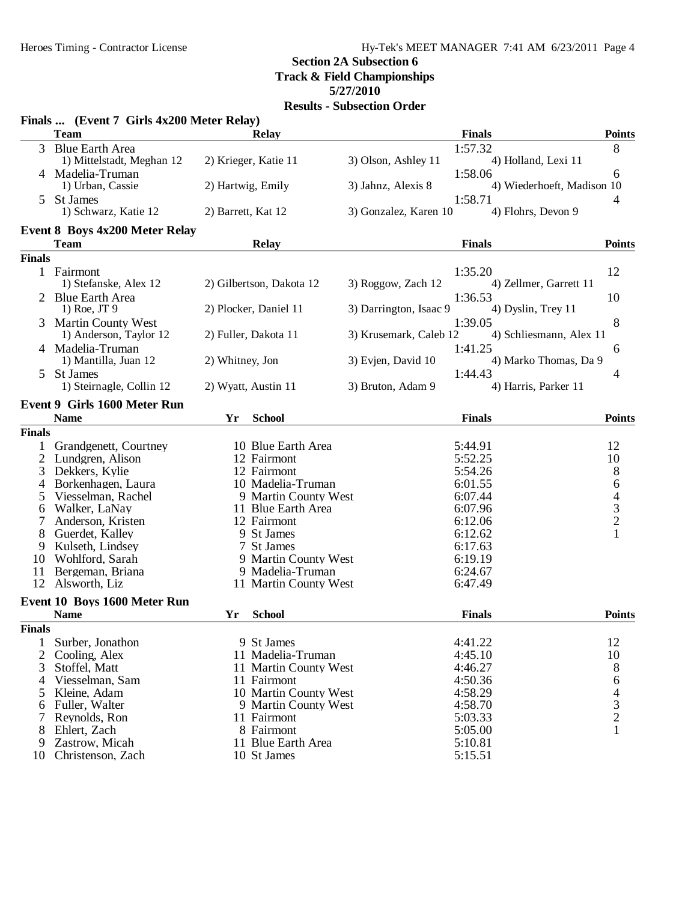# **Section 2A Subsection 6**

**Track & Field Championships**

**5/27/2010**

|                | Finals  (Event 7 Girls 4x200 Meter Relay)<br><b>Team</b> |                    |                          |                        | <b>Finals</b>              | <b>Points</b> |
|----------------|----------------------------------------------------------|--------------------|--------------------------|------------------------|----------------------------|---------------|
|                |                                                          |                    | <b>Relay</b>             |                        |                            |               |
| 3 <sup>1</sup> | <b>Blue Earth Area</b>                                   |                    |                          |                        | 1:57.32                    | 8             |
|                | 1) Mittelstadt, Meghan 12                                |                    | 2) Krieger, Katie 11     | 3) Olson, Ashley 11    | 4) Holland, Lexi 11        |               |
|                | 4 Madelia-Truman                                         |                    |                          |                        | 1:58.06                    | 6             |
|                | 1) Urban, Cassie                                         | 2) Hartwig, Emily  |                          | 3) Jahnz, Alexis 8     | 4) Wiederhoeft, Madison 10 |               |
|                | <b>St James</b>                                          |                    |                          |                        | 1:58.71                    | 4             |
|                | 1) Schwarz, Katie 12                                     | 2) Barrett, Kat 12 |                          | 3) Gonzalez, Karen 10  | 4) Flohrs, Devon 9         |               |
|                | <b>Event 8 Boys 4x200 Meter Relay</b>                    |                    |                          |                        |                            |               |
|                | <b>Team</b>                                              |                    | <b>Relay</b>             |                        | <b>Finals</b>              | <b>Points</b> |
| <b>Finals</b>  |                                                          |                    |                          |                        |                            |               |
|                | 1 Fairmont                                               |                    |                          |                        | 1:35.20                    | 12            |
|                | 1) Stefanske, Alex 12                                    |                    | 2) Gilbertson, Dakota 12 | 3) Roggow, Zach 12     | 4) Zellmer, Garrett 11     |               |
|                | 2 Blue Earth Area                                        |                    |                          |                        | 1:36.53                    | 10            |
|                | $1)$ Roe, JT 9                                           |                    | 2) Plocker, Daniel 11    | 3) Darrington, Isaac 9 | 4) Dyslin, Trey 11         |               |
|                | <b>Martin County West</b>                                |                    |                          |                        | 1:39.05                    | 8             |
|                | 1) Anderson, Taylor 12                                   |                    | 2) Fuller, Dakota 11     | 3) Krusemark, Caleb 12 | 4) Schliesmann, Alex 11    |               |
|                | 4 Madelia-Truman                                         |                    |                          |                        | 1:41.25                    | 6             |
|                | 1) Mantilla, Juan 12                                     | 2) Whitney, Jon    |                          | 3) Evjen, David 10     | 4) Marko Thomas, Da 9      |               |
| 5              | St James                                                 |                    |                          |                        | 1:44.43                    | 4             |
|                | 1) Steirnagle, Collin 12                                 |                    | 2) Wyatt, Austin 11      | 3) Bruton, Adam 9      | 4) Harris, Parker 11       |               |
|                | Event 9 Girls 1600 Meter Run                             |                    |                          |                        |                            |               |
|                | <b>Name</b>                                              | Yr                 | <b>School</b>            |                        | <b>Finals</b>              | <b>Points</b> |
|                |                                                          |                    |                          |                        |                            |               |
| <b>Finals</b>  |                                                          |                    |                          |                        |                            |               |
| $\mathbf{1}$   | Grandgenett, Courtney                                    |                    | 10 Blue Earth Area       |                        | 5:44.91                    | 12            |
| 2              | Lundgren, Alison                                         |                    | 12 Fairmont              |                        | 5:52.25                    | 10            |
| 3              | Dekkers, Kylie                                           |                    | 12 Fairmont              |                        | 5:54.26                    | $\,8\,$       |
| 4              | Borkenhagen, Laura                                       |                    | 10 Madelia-Truman        |                        | 6:01.55                    | 6             |
| 5              | Viesselman, Rachel                                       |                    | 9 Martin County West     |                        | 6:07.44                    | $\frac{4}{3}$ |
| 6              | Walker, LaNay                                            |                    | 11 Blue Earth Area       |                        | 6:07.96                    |               |
| 7              | Anderson, Kristen                                        |                    | 12 Fairmont              |                        | 6:12.06                    |               |
| 8              | Guerdet, Kalley                                          |                    | 9 St James               |                        | 6:12.62                    | $\mathbf{1}$  |
| 9              | Kulseth, Lindsey                                         |                    | 7 St James               |                        | 6:17.63                    |               |
| 10             | Wohlford, Sarah                                          |                    | 9 Martin County West     |                        | 6:19.19                    |               |
| 11<br>12       | Bergeman, Briana                                         |                    | 9 Madelia-Truman         |                        | 6:24.67                    |               |
|                | Alsworth, Liz                                            |                    | 11 Martin County West    |                        | 6:47.49                    |               |
|                | Event 10 Boys 1600 Meter Run                             |                    |                          |                        |                            |               |
|                | <b>Name</b>                                              | Yr                 | <b>School</b>            |                        | <b>Finals</b>              | <b>Points</b> |
| <b>Finals</b>  |                                                          |                    |                          |                        |                            |               |
| 1              | Surber, Jonathon                                         |                    | 9 St James               |                        | 4:41.22                    | 12            |
| $\overline{2}$ | Cooling, Alex                                            |                    | 11 Madelia-Truman        |                        | 4:45.10                    | 10            |
| 3              | Stoffel, Matt                                            |                    | 11 Martin County West    |                        | 4:46.27                    | 8             |
| 4              | Viesselman, Sam                                          |                    | 11 Fairmont              |                        | 4:50.36                    | 6             |
| 5              | Kleine, Adam                                             |                    | 10 Martin County West    |                        | 4:58.29                    |               |
| 6              | Fuller, Walter                                           |                    | 9 Martin County West     |                        | 4:58.70                    | $\frac{4}{3}$ |
| 7              | Reynolds, Ron                                            |                    | 11 Fairmont              |                        | 5:03.33                    |               |
| 8              | Ehlert, Zach                                             |                    | 8 Fairmont               |                        | 5:05.00                    | $\mathbf{1}$  |
| 9              | Zastrow, Micah                                           |                    | 11 Blue Earth Area       |                        | 5:10.81                    |               |
| 10             | Christenson, Zach                                        |                    | 10 St James              |                        | 5:15.51                    |               |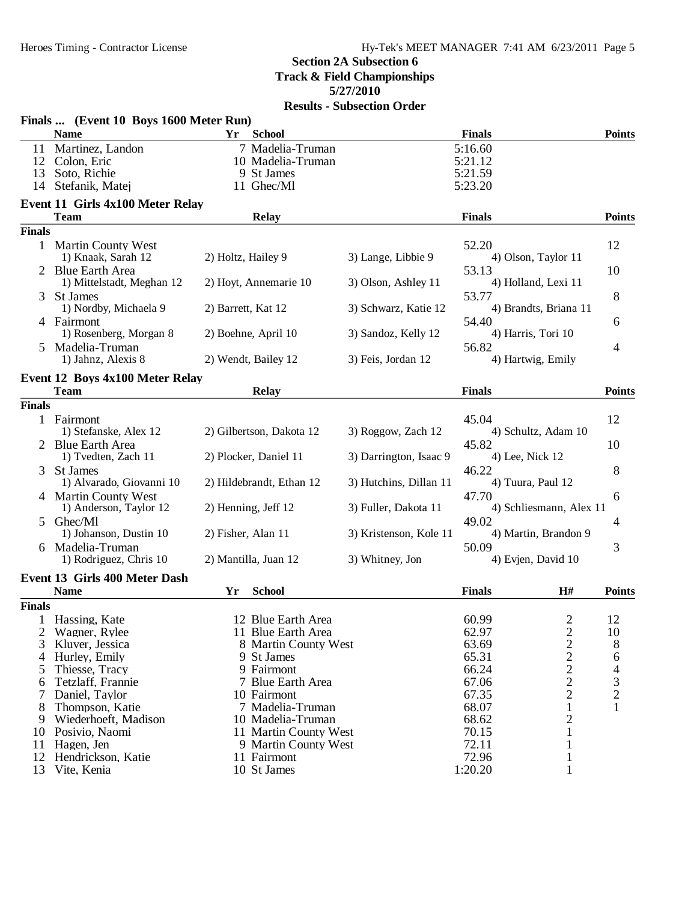|                     | Finals  (Event 10 Boys 1600 Meter Run)          |                                    |                        |                                 |                |
|---------------------|-------------------------------------------------|------------------------------------|------------------------|---------------------------------|----------------|
|                     | <b>Name</b>                                     | ${\bf Yr}$<br><b>School</b>        |                        | <b>Finals</b>                   | <b>Points</b>  |
| 11                  | Martinez, Landon                                | 7 Madelia-Truman                   |                        | 5:16.60                         |                |
| 12                  | Colon, Eric                                     | 10 Madelia-Truman                  |                        | 5:21.12                         |                |
| 13                  | Soto, Richie                                    | 9 St James                         |                        | 5:21.59                         |                |
| 14                  | Stefanik, Matej                                 | 11 Ghec/Ml                         |                        | 5:23.20                         |                |
|                     | Event 11 Girls 4x100 Meter Relay<br><b>Team</b> | <b>Relay</b>                       |                        | <b>Finals</b>                   | <b>Points</b>  |
| <b>Finals</b>       |                                                 |                                    |                        |                                 |                |
|                     | 1 Martin County West                            |                                    |                        | 52.20                           | 12             |
|                     | 1) Knaak, Sarah 12                              | 2) Holtz, Hailey 9                 | 3) Lange, Libbie 9     | 4) Olson, Taylor 11             |                |
|                     | <b>Blue Earth Area</b>                          |                                    |                        | 53.13                           | 10             |
|                     | 1) Mittelstadt, Meghan 12                       | 2) Hoyt, Annemarie 10              | 3) Olson, Ashley 11    | 4) Holland, Lexi 11             |                |
| 3                   | St James                                        |                                    |                        | 53.77                           | 8              |
|                     | 1) Nordby, Michaela 9                           | 2) Barrett, Kat 12                 | 3) Schwarz, Katie 12   | 4) Brandts, Briana 11           |                |
|                     | 4 Fairmont                                      |                                    |                        | 54.40                           | 6              |
|                     | 1) Rosenberg, Morgan 8                          | 2) Boehne, April 10                | 3) Sandoz, Kelly 12    | 4) Harris, Tori 10              |                |
| 5                   | Madelia-Truman                                  |                                    |                        | 56.82                           | 4              |
|                     | 1) Jahnz, Alexis 8                              | 2) Wendt, Bailey 12                | 3) Feis, Jordan 12     | 4) Hartwig, Emily               |                |
|                     | <b>Event 12 Boys 4x100 Meter Relay</b>          |                                    |                        |                                 |                |
|                     | <b>Team</b>                                     | <b>Relay</b>                       |                        | <b>Finals</b>                   | <b>Points</b>  |
| <b>Finals</b>       |                                                 |                                    |                        |                                 |                |
|                     | 1 Fairmont                                      |                                    |                        | 45.04                           | 12             |
|                     | 1) Stefanske, Alex 12                           | 2) Gilbertson, Dakota 12           | 3) Roggow, Zach 12     | 4) Schultz, Adam 10             |                |
|                     | 2 Blue Earth Area                               |                                    |                        | 45.82                           | 10             |
|                     | 1) Tvedten, Zach 11                             | 2) Plocker, Daniel 11              | 3) Darrington, Isaac 9 | 4) Lee, Nick 12                 |                |
| 3                   | <b>St James</b>                                 |                                    |                        | 46.22                           | 8              |
|                     | 1) Alvarado, Giovanni 10                        | 2) Hildebrandt, Ethan 12           | 3) Hutchins, Dillan 11 | 4) Tuura, Paul 12               |                |
|                     | 4 Martin County West                            |                                    |                        | 47.70                           | 6              |
|                     | 1) Anderson, Taylor 12                          | 2) Henning, Jeff 12                | 3) Fuller, Dakota 11   | 4) Schliesmann, Alex 11         |                |
| 5.                  | Ghec/Ml                                         |                                    |                        | 49.02                           | 4              |
|                     | 1) Johanson, Dustin 10                          | 2) Fisher, Alan 11                 | 3) Kristenson, Kole 11 | 4) Martin, Brandon 9            |                |
|                     | 6 Madelia-Truman<br>1) Rodriguez, Chris 10      | 2) Mantilla, Juan 12               | 3) Whitney, Jon        | 50.09<br>4) Evjen, David 10     | 3              |
|                     |                                                 |                                    |                        |                                 |                |
|                     | Event 13 Girls 400 Meter Dash                   |                                    |                        |                                 |                |
|                     | <b>Name</b>                                     | Yr<br><b>School</b>                |                        | H#<br><b>Finals</b>             | <b>Points</b>  |
| <b>Finals</b>       |                                                 |                                    |                        |                                 |                |
|                     | Hassing, Kate                                   | 12 Blue Earth Area                 |                        | 60.99<br>$\overline{2}$         | 12             |
| 2                   | Wagner, Rylee                                   | 11 Blue Earth Area                 |                        | 62.97                           | 10             |
| 3<br>$\overline{4}$ | Kluver, Jessica                                 | 8 Martin County West<br>9 St James |                        | $\frac{2}{2}$<br>63.69<br>65.31 | 8              |
| 5                   | Hurley, Emily<br>Thiesse, Tracy                 | 9 Fairmont                         |                        | 66.24                           | 6<br>4         |
| 6                   | Tetzlaff, Frannie                               | 7 Blue Earth Area                  |                        | $\frac{2}{2}$<br>67.06          | 3              |
| 7                   | Daniel, Taylor                                  | 10 Fairmont                        |                        | $\overline{c}$<br>67.35         | $\overline{2}$ |
| 8                   | Thompson, Katie                                 | 7 Madelia-Truman                   |                        | 68.07<br>$\mathbf{1}$           | 1              |
| 9                   | Wiederhoeft, Madison                            | 10 Madelia-Truman                  |                        | 2<br>68.62                      |                |
| 10                  | Posivio, Naomi                                  | 11 Martin County West              |                        | 70.15<br>1                      |                |
| 11                  | Hagen, Jen                                      | 9 Martin County West               |                        | 72.11<br>1                      |                |
| 12                  | Hendrickson, Katie                              | 11 Fairmont                        |                        | 72.96<br>1                      |                |
| 13                  | Vite, Kenia                                     | 10 St James                        |                        | 1:20.20<br>1                    |                |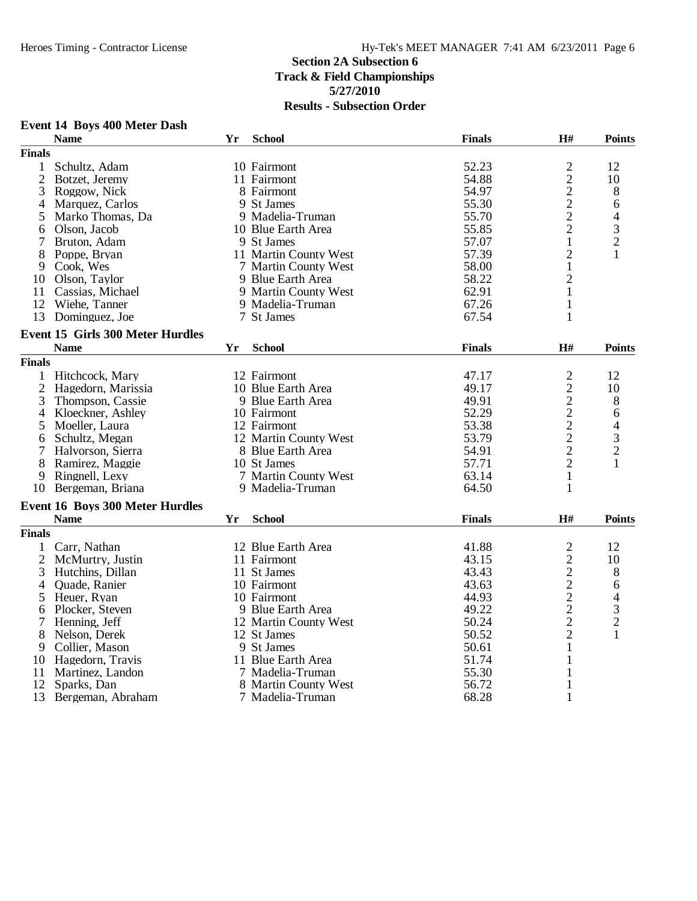|                | Event 14 Boys 400 Meter Dash                           |    |                       |               |                                            |                |
|----------------|--------------------------------------------------------|----|-----------------------|---------------|--------------------------------------------|----------------|
|                | <b>Name</b>                                            | Yr | <b>School</b>         | <b>Finals</b> | H#                                         | <b>Points</b>  |
| <b>Finals</b>  |                                                        |    |                       |               |                                            |                |
| 1              | Schultz, Adam                                          |    | 10 Fairmont           | 52.23         |                                            | 12             |
| $\overline{2}$ | Botzet, Jeremy                                         |    | 11 Fairmont           | 54.88         | $\begin{array}{c} 2 \\ 2 \\ 2 \end{array}$ | 10             |
| 3              | Roggow, Nick                                           |    | 8 Fairmont            | 54.97         |                                            | 8              |
| 4              | Marquez, Carlos                                        |    | 9 St James            | 55.30         |                                            | 6              |
| 5              | Marko Thomas, Da                                       |    | 9 Madelia-Truman      | 55.70         | $\overline{c}$                             | 4              |
| 6              | Olson, Jacob                                           |    | 10 Blue Earth Area    | 55.85         | $\overline{c}$                             | 3              |
| 7              | Bruton, Adam                                           |    | 9 St James            | 57.07         | $\mathbf 1$                                | $\overline{c}$ |
| 8              | Poppe, Bryan                                           |    | 11 Martin County West | 57.39         | $\overline{c}$                             | 1              |
| 9              | Cook, Wes                                              |    | 7 Martin County West  | 58.00         | $\mathbf{1}$                               |                |
| 10             | Olson, Taylor                                          |    | 9 Blue Earth Area     | 58.22         | $\overline{c}$                             |                |
| 11             | Cassias, Michael                                       |    | 9 Martin County West  | 62.91         | $\mathbf{1}$                               |                |
|                | 12 Wiehe, Tanner                                       |    | 9 Madelia-Truman      | 67.26         | $\mathbf{1}$                               |                |
| 13             | Dominguez, Joe                                         |    | 7 St James            | 67.54         | $\mathbf{1}$                               |                |
|                |                                                        |    |                       |               |                                            |                |
|                | <b>Event 15 Girls 300 Meter Hurdles</b><br><b>Name</b> | Yr | <b>School</b>         | <b>Finals</b> | $\mathbf{H}$ #                             | <b>Points</b>  |
| <b>Finals</b>  |                                                        |    |                       |               |                                            |                |
|                |                                                        |    |                       |               |                                            |                |
|                | 1 Hitchcock, Mary                                      |    | 12 Fairmont           | 47.17         | $\overline{c}$                             | 12             |
|                | 2 Hagedorn, Marissia                                   |    | 10 Blue Earth Area    | 49.17         | $\frac{2}{2}$                              | 10             |
| 3              | Thompson, Cassie                                       |    | 9 Blue Earth Area     | 49.91         |                                            | 8              |
| 4              | Kloeckner, Ashley                                      |    | 10 Fairmont           | 52.29         | $\frac{2}{2}$                              | 6              |
| 5              | Moeller, Laura                                         |    | 12 Fairmont           | 53.38         |                                            | 4              |
| 6              | Schultz, Megan                                         |    | 12 Martin County West | 53.79         |                                            | $\mathfrak{Z}$ |
| 7              | Halvorson, Sierra                                      |    | 8 Blue Earth Area     | 54.91         | $\overline{c}$                             | $\overline{2}$ |
| 8              | Ramirez, Maggie                                        |    | 10 St James           | 57.71         | $\overline{2}$                             | $\mathbf{1}$   |
| 9              | Ringnell, Lexy                                         |    | 7 Martin County West  | 63.14         | 1                                          |                |
| 10             | Bergeman, Briana                                       |    | 9 Madelia-Truman      | 64.50         | 1                                          |                |
|                | <b>Event 16 Boys 300 Meter Hurdles</b>                 |    |                       |               |                                            |                |
|                | <b>Name</b>                                            | Yr | <b>School</b>         | <b>Finals</b> | H#                                         | <b>Points</b>  |
| <b>Finals</b>  |                                                        |    |                       |               |                                            |                |
|                | 1 Carr, Nathan                                         |    | 12 Blue Earth Area    | 41.88         | $\overline{c}$                             | 12             |
|                | 2 McMurtry, Justin                                     |    | 11 Fairmont           | 43.15         |                                            | 10             |
| 3              | Hutchins, Dillan                                       |    | 11 St James           | 43.43         | $\frac{2}{2}$                              | 8              |
| 4              | Quade, Ranier                                          |    | 10 Fairmont           | 43.63         |                                            | 6              |
| 5              | Heuer, Ryan                                            |    | 10 Fairmont           | 44.93         | $\frac{2}{2}$                              | 4              |
| 6              | Plocker, Steven                                        |    | 9 Blue Earth Area     | 49.22         |                                            | $\mathfrak{Z}$ |
| 7              | Henning, Jeff                                          |    | 12 Martin County West | 50.24         |                                            | $\overline{c}$ |
| 8              | Nelson, Derek                                          |    | 12 St James           | 50.52         | $\overline{2}$                             | 1              |
| 9              | Collier, Mason                                         |    | 9 St James            | 50.61         | $\mathbf{1}$                               |                |
| 10             | Hagedorn, Travis                                       |    | 11 Blue Earth Area    | 51.74         | 1                                          |                |
| 11             | Martinez, Landon                                       |    | 7 Madelia-Truman      | 55.30         | $\mathbf{1}$                               |                |
| 12             | Sparks, Dan                                            |    | 8 Martin County West  | 56.72         | 1                                          |                |
| 13             | Bergeman, Abraham                                      |    | 7 Madelia-Truman      | 68.28         | $\mathbf{1}$                               |                |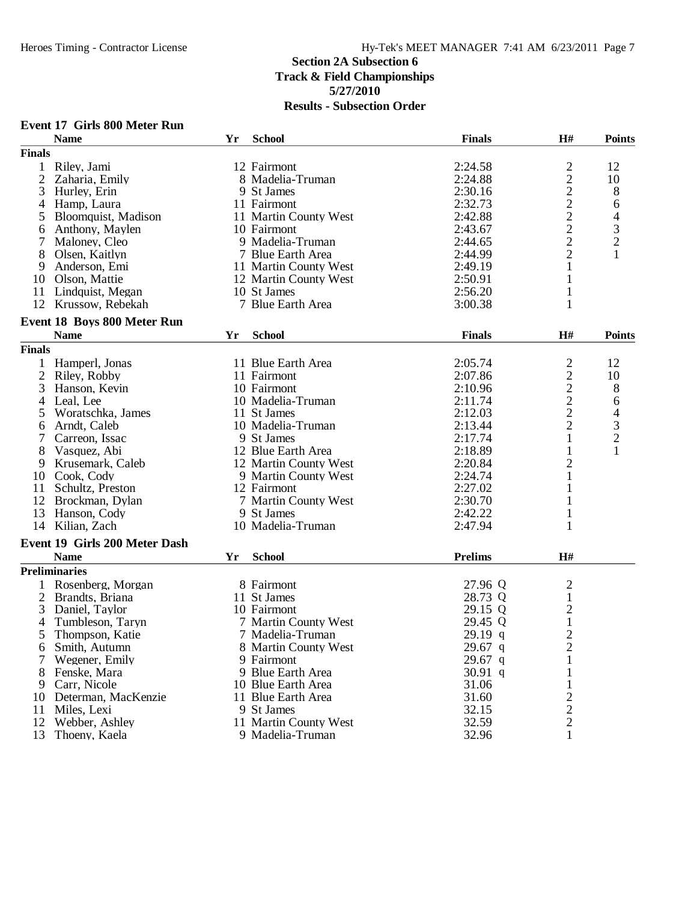|                | <b>Event 17 Girls 800 Meter Run</b>        |    |                       |                |                              |                |
|----------------|--------------------------------------------|----|-----------------------|----------------|------------------------------|----------------|
|                | <b>Name</b>                                | Yr | <b>School</b>         | <b>Finals</b>  | H#                           | <b>Points</b>  |
| <b>Finals</b>  |                                            |    |                       |                |                              |                |
| $\mathbf{1}$   | Riley, Jami                                |    | 12 Fairmont           | 2:24.58        | $\overline{c}$               | 12             |
| $\overline{2}$ | Zaharia, Emily                             |    | 8 Madelia-Truman      | 2:24.88        | $\sqrt{2}$                   | 10             |
| 3              | Hurley, Erin                               |    | 9 St James            | 2:30.16        |                              | 8              |
| 4              | Hamp, Laura                                |    | 11 Fairmont           | 2:32.73        | $\frac{2}{2}$                | 6              |
| 5              | Bloomquist, Madison                        |    | 11 Martin County West | 2:42.88        | $\overline{2}$               | 4              |
| 6              | Anthony, Maylen                            |    | 10 Fairmont           | 2:43.67        | $\overline{2}$               | 3              |
| 7              | Maloney, Cleo                              |    | 9 Madelia-Truman      | 2:44.65        | $\overline{c}$               | $\overline{c}$ |
| 8              | Olsen, Kaitlyn                             |    | 7 Blue Earth Area     | 2:44.99        | $\sqrt{2}$                   | $\mathbf{1}$   |
| 9              | Anderson, Emi                              |    | 11 Martin County West | 2:49.19        | $\mathbf{1}$                 |                |
| 10             | Olson, Mattie                              |    | 12 Martin County West | 2:50.91        | 1                            |                |
|                | 11 Lindquist, Megan                        |    | 10 St James           | 2:56.20        | 1                            |                |
|                | 12 Krussow, Rebekah                        |    | 7 Blue Earth Area     | 3:00.38        | 1                            |                |
|                |                                            |    |                       |                |                              |                |
|                | Event 18 Boys 800 Meter Run<br><b>Name</b> | Yr | <b>School</b>         | <b>Finals</b>  | H#                           | <b>Points</b>  |
| <b>Finals</b>  |                                            |    |                       |                |                              |                |
| 1              | Hamperl, Jonas                             |    | 11 Blue Earth Area    | 2:05.74        |                              | 12             |
| $\overline{2}$ |                                            |    | 11 Fairmont           | 2:07.86        | $\overline{c}$<br>$\sqrt{2}$ | 10             |
|                | Riley, Robby                               |    |                       |                |                              |                |
| 3              | Hanson, Kevin                              |    | 10 Fairmont           | 2:10.96        | $\sqrt{2}$                   | 8              |
| 4              | Leal, Lee                                  |    | 10 Madelia-Truman     | 2:11.74        | $\sqrt{2}$                   | 6              |
| 5              | Woratschka, James                          |    | 11 St James           | 2:12.03        | $\overline{2}$               | 4              |
| 6              | Arndt, Caleb                               |    | 10 Madelia-Truman     | 2:13.44        | $\overline{c}$               | 3              |
| 7              | Carreon, Issac                             |    | 9 St James            | 2:17.74        | $\mathbf{1}$                 | $\overline{c}$ |
| 8              | Vasquez, Abi                               |    | 12 Blue Earth Area    | 2:18.89        | $\mathbf{1}$                 | 1              |
| 9              | Krusemark, Caleb                           |    | 12 Martin County West | 2:20.84        | $\mathbf{2}$                 |                |
| 10             | Cook, Cody                                 |    | 9 Martin County West  | 2:24.74        | $\mathbf{1}$                 |                |
| 11             | Schultz, Preston                           |    | 12 Fairmont           | 2:27.02        | $\mathbf{1}$                 |                |
| 12             | Brockman, Dylan                            |    | 7 Martin County West  | 2:30.70        | 1                            |                |
| 13             | Hanson, Cody                               |    | 9 St James            | 2:42.22        | 1                            |                |
| 14             | Kilian, Zach                               |    | 10 Madelia-Truman     | 2:47.94        | 1                            |                |
|                | Event 19 Girls 200 Meter Dash              |    |                       |                |                              |                |
|                | <b>Name</b>                                | Yr | <b>School</b>         | <b>Prelims</b> | H#                           |                |
|                | <b>Preliminaries</b>                       |    |                       |                |                              |                |
|                | Rosenberg, Morgan                          |    | 8 Fairmont            | 27.96 Q        | $\mathfrak{2}$               |                |
| 2              | Brandts, Briana                            |    | 11 St James           | 28.73 Q        | $\mathbf{1}$                 |                |
| 3              | Daniel, Taylor                             |    | 10 Fairmont           | 29.15 Q        | $\mathbf{2}$                 |                |
| 4              | Tumbleson, Taryn                           |    | 7 Martin County West  | 29.45 Q        | $\mathbf{1}$                 |                |
| 5              | Thompson, Katie                            |    | 7 Madelia-Truman      | 29.19 q        | $\overline{c}$               |                |
| 6              | Smith, Autumn                              |    | 8 Martin County West  | $29.67$ q      | $\overline{2}$               |                |
|                | Wegener, Emily                             |    | 9 Fairmont            | $29.67$ q      | 1                            |                |
| 8              | Fenske, Mara                               |    | 9 Blue Earth Area     | 30.91 q        | 1                            |                |
|                | 9 Carr, Nicole                             |    | 10 Blue Earth Area    | 31.06          | 1                            |                |
|                | 10 Determan, MacKenzie                     |    | 11 Blue Earth Area    | 31.60          | $\overline{c}$               |                |
| 11             | Miles, Lexi                                |    | 9 St James            | 32.15          | $\mathbf{2}$                 |                |
| 12             | Webber, Ashley                             |    | 11 Martin County West | 32.59          | $\mathfrak{2}$               |                |
| 13             | Thoeny, Kaela                              |    | 9 Madelia-Truman      | 32.96          | $\mathbf{1}$                 |                |
|                |                                            |    |                       |                |                              |                |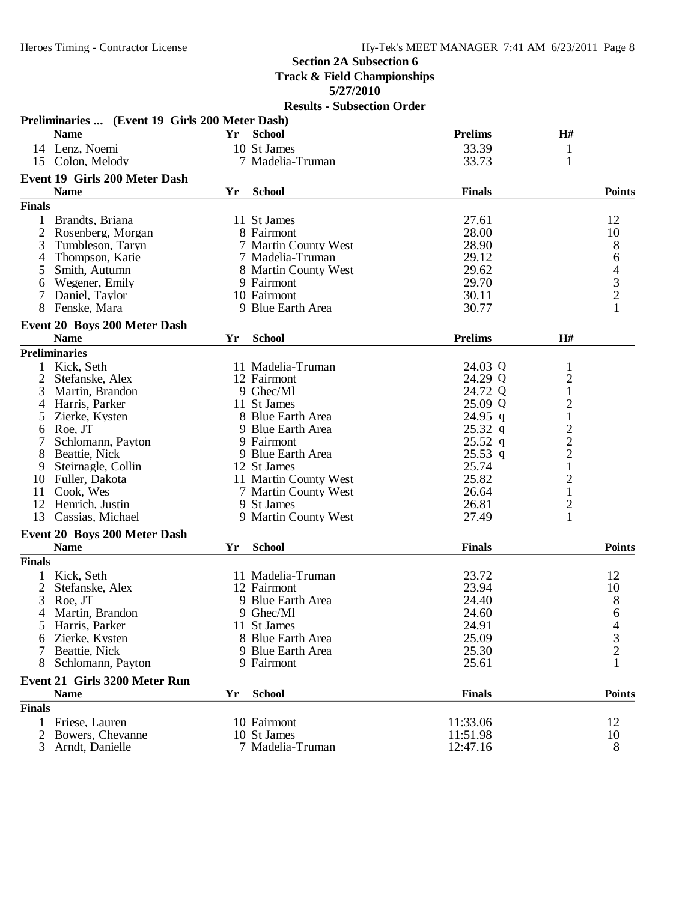**5/27/2010**

|                | Preliminaries  (Event 19 Girls 200 Meter Dash) |    |                       |                |                         |               |
|----------------|------------------------------------------------|----|-----------------------|----------------|-------------------------|---------------|
|                | <b>Name</b>                                    |    | Yr School             | <b>Prelims</b> | H#                      |               |
|                | 14 Lenz, Noemi                                 |    | 10 St James           | 33.39          | $\mathbf{1}$            |               |
|                | 15 Colon, Melody                               |    | 7 Madelia-Truman      | 33.73          | $\mathbf{1}$            |               |
|                | <b>Event 19 Girls 200 Meter Dash</b>           |    |                       |                |                         |               |
|                | <b>Name</b>                                    | Yr | <b>School</b>         | <b>Finals</b>  |                         | <b>Points</b> |
| <b>Finals</b>  |                                                |    |                       |                |                         |               |
| $\mathbf{1}$   | Brandts, Briana                                |    | 11 St James           | 27.61          |                         | 12            |
| 2              | Rosenberg, Morgan                              |    | 8 Fairmont            | 28.00          |                         | 10            |
| 3              | Tumbleson, Taryn                               |    | 7 Martin County West  | 28.90          |                         |               |
| 4              | Thompson, Katie                                |    | 7 Madelia-Truman      | 29.12          |                         |               |
| 5              | Smith, Autumn                                  |    | 8 Martin County West  | 29.62          |                         |               |
| 6              | Wegener, Emily                                 |    | 9 Fairmont            | 29.70          |                         |               |
| 7              | Daniel, Taylor                                 |    | 10 Fairmont           | 30.11          |                         |               |
| 8              | Fenske, Mara                                   |    | 9 Blue Earth Area     | 30.77          |                         | 864321        |
|                |                                                |    |                       |                |                         |               |
|                | Event 20 Boys 200 Meter Dash<br><b>Name</b>    | Yr | <b>School</b>         | <b>Prelims</b> | H#                      |               |
|                | <b>Preliminaries</b>                           |    |                       |                |                         |               |
| $\mathbf{1}$   | Kick, Seth                                     |    | 11 Madelia-Truman     | 24.03 Q        | $\mathbf{1}$            |               |
| 2              | Stefanske, Alex                                |    | 12 Fairmont           | 24.29 Q        | $\overline{c}$          |               |
| 3              | Martin, Brandon                                |    | 9 Ghec/Ml             | 24.72 Q        | $\mathbf{1}$            |               |
|                |                                                |    | 11 St James           | 25.09 Q        |                         |               |
| 4              | Harris, Parker                                 |    |                       |                | $\overline{c}$          |               |
| 5              | Zierke, Kysten                                 |    | 8 Blue Earth Area     | $24.95$ q      | $\,1$                   |               |
| 6              | Roe, JT                                        |    | 9 Blue Earth Area     | $25.32$ q      | $\frac{2}{2}$           |               |
| 7              | Schlomann, Payton                              |    | 9 Fairmont            | $25.52$ q      |                         |               |
| 8              | Beattie, Nick                                  |    | 9 Blue Earth Area     | $25.53$ q      |                         |               |
| 9              | Steirnagle, Collin                             |    | 12 St James           | 25.74          | $\mathbf{1}$            |               |
| 10             | Fuller, Dakota                                 |    | 11 Martin County West | 25.82          | $\overline{c}$          |               |
| 11             | Cook, Wes                                      |    | 7 Martin County West  | 26.64          | $\,1$                   |               |
| 12             | Henrich, Justin                                |    | 9 St James            | 26.81          | $\overline{\mathbf{c}}$ |               |
| 13             | Cassias, Michael                               |    | 9 Martin County West  | 27.49          | $\mathbf{1}$            |               |
|                | Event 20 Boys 200 Meter Dash                   |    |                       |                |                         |               |
|                | <b>Name</b>                                    | Yr | <b>School</b>         | <b>Finals</b>  |                         | <b>Points</b> |
| <b>Finals</b>  |                                                |    |                       |                |                         |               |
| 1              | Kick, Seth                                     |    | 11 Madelia-Truman     | 23.72          |                         | 12            |
| $\overline{2}$ | Stefanske, Alex                                |    | 12 Fairmont           | 23.94          |                         | 10            |
| 3              | Roe, JT                                        |    | 9 Blue Earth Area     | 24.40          |                         | 8             |
| 4              | Martin, Brandon                                |    | 9 Ghec/Ml             | 24.60          |                         | 6             |
| 5.             | Harris, Parker                                 |    | 11 St James           | 24.91          |                         |               |
| 6              | Zierke, Kysten                                 |    | 8 Blue Earth Area     | 25.09          |                         | $\frac{4}{3}$ |
|                | Beattie, Nick                                  |    | 9 Blue Earth Area     | 25.30          |                         |               |
| 8              | Schlomann, Payton                              |    | 9 Fairmont            | 25.61          |                         |               |
|                | <b>Event 21 Girls 3200 Meter Run</b>           |    |                       |                |                         |               |
|                | <b>Name</b>                                    | Yr | <b>School</b>         | <b>Finals</b>  |                         | <b>Points</b> |
| <b>Finals</b>  |                                                |    |                       |                |                         |               |
| $\mathbf{1}$   | Friese, Lauren                                 |    | 10 Fairmont           | 11:33.06       |                         | 12            |
| 2              | Bowers, Cheyanne                               |    | 10 St James           | 11:51.98       |                         | 10            |
| 3              | Arndt, Danielle                                |    | 7 Madelia-Truman      | 12:47.16       |                         | 8             |
|                |                                                |    |                       |                |                         |               |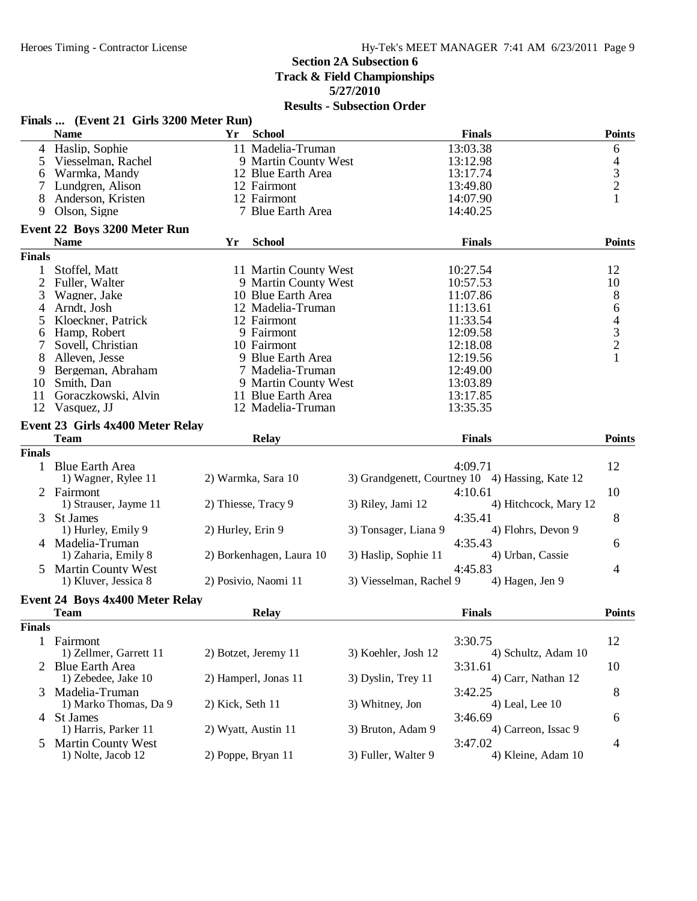**5/27/2010**

|                | Finals  (Event 21 Girls 3200 Meter Run)     |                   |                          |                         |                                                 |                                            |
|----------------|---------------------------------------------|-------------------|--------------------------|-------------------------|-------------------------------------------------|--------------------------------------------|
|                | <b>Name</b>                                 | Yr                | <b>School</b>            |                         | <b>Finals</b>                                   | <b>Points</b>                              |
|                | 4 Haslip, Sophie                            |                   | 11 Madelia-Truman        |                         | 13:03.38                                        | 6                                          |
| 5              | Viesselman, Rachel                          |                   | 9 Martin County West     |                         | 13:12.98                                        | $\overline{4}$                             |
| 6              | Warmka, Mandy                               |                   | 12 Blue Earth Area       |                         | 13:17.74                                        | $\frac{3}{2}$                              |
|                | Lundgren, Alison                            |                   | 12 Fairmont              |                         | 13:49.80                                        |                                            |
| 8              | Anderson, Kristen                           |                   | 12 Fairmont              |                         | 14:07.90                                        | $\mathbf{1}$                               |
| 9              | Olson, Signe                                |                   | 7 Blue Earth Area        |                         | 14:40.25                                        |                                            |
|                | Event 22 Boys 3200 Meter Run<br><b>Name</b> | Yr                | <b>School</b>            |                         | <b>Finals</b>                                   | <b>Points</b>                              |
| <b>Finals</b>  |                                             |                   |                          |                         |                                                 |                                            |
| $\mathbf{1}$   | Stoffel, Matt                               |                   | 11 Martin County West    |                         | 10:27.54                                        | 12                                         |
| $\overline{2}$ | Fuller, Walter                              |                   | 9 Martin County West     |                         | 10:57.53                                        | 10                                         |
| 3              | Wagner, Jake                                |                   | 10 Blue Earth Area       |                         | 11:07.86                                        | 8                                          |
| 4              | Arndt, Josh                                 |                   | 12 Madelia-Truman        |                         | 11:13.61                                        | 6                                          |
| 5              | Kloeckner, Patrick                          |                   | 12 Fairmont              |                         | 11:33.54                                        |                                            |
| 6              | Hamp, Robert                                |                   | 9 Fairmont               |                         | 12:09.58                                        | $\begin{array}{c} 4 \\ 3 \\ 2 \end{array}$ |
| 7              | Sovell, Christian                           |                   | 10 Fairmont              |                         | 12:18.08                                        |                                            |
| 8              | Alleven, Jesse                              |                   | 9 Blue Earth Area        |                         | 12:19.56                                        | $\mathbf{1}$                               |
| 9              | Bergeman, Abraham                           |                   | 7 Madelia-Truman         |                         | 12:49.00                                        |                                            |
| 10             | Smith, Dan                                  |                   | 9 Martin County West     |                         | 13:03.89                                        |                                            |
| 11             | Goraczkowski, Alvin                         |                   | 11 Blue Earth Area       |                         | 13:17.85                                        |                                            |
| 12             | Vasquez, JJ                                 |                   | 12 Madelia-Truman        |                         | 13:35.35                                        |                                            |
|                | Event 23 Girls 4x400 Meter Relay            |                   |                          |                         |                                                 |                                            |
|                | <b>Team</b>                                 |                   | <b>Relay</b>             |                         | <b>Finals</b>                                   | <b>Points</b>                              |
| <b>Finals</b>  |                                             |                   |                          |                         |                                                 |                                            |
|                | 1 Blue Earth Area                           |                   |                          |                         | 4:09.71                                         | 12                                         |
|                | 1) Wagner, Rylee 11                         |                   | 2) Warmka, Sara 10       |                         | 3) Grandgenett, Courtney 10 4) Hassing, Kate 12 |                                            |
|                | 2 Fairmont                                  |                   |                          |                         | 4:10.61                                         | 10                                         |
|                | 1) Strauser, Jayme 11                       |                   | 2) Thiesse, Tracy 9      | 3) Riley, Jami 12       | 4) Hitchcock, Mary 12                           |                                            |
| 3              | <b>St James</b>                             |                   |                          |                         | 4:35.41                                         | 8                                          |
|                | 1) Hurley, Emily 9                          | 2) Hurley, Erin 9 |                          | 3) Tonsager, Liana 9    | 4) Flohrs, Devon 9                              |                                            |
|                | 4 Madelia-Truman                            |                   |                          |                         | 4:35.43                                         | 6                                          |
|                | 1) Zaharia, Emily 8                         |                   | 2) Borkenhagen, Laura 10 | 3) Haslip, Sophie 11    | 4) Urban, Cassie                                |                                            |
|                | 5 Martin County West                        |                   |                          |                         | 4:45.83                                         | 4                                          |
|                | 1) Kluver, Jessica 8                        |                   | 2) Posivio, Naomi 11     | 3) Viesselman, Rachel 9 | 4) Hagen, Jen 9                                 |                                            |
|                | <b>Event 24 Boys 4x400 Meter Relay</b>      |                   |                          |                         |                                                 |                                            |
|                | <b>Team</b>                                 |                   | <b>Relay</b>             |                         | <b>Finals</b>                                   | <b>Points</b>                              |
| Finals         |                                             |                   |                          |                         |                                                 |                                            |
|                | 1 Fairmont                                  |                   |                          |                         | 3:30.75                                         | 12                                         |
|                | 1) Zellmer, Garrett 11                      |                   | 2) Botzet, Jeremy 11     | 3) Koehler, Josh 12     | 4) Schultz, Adam 10                             |                                            |
|                | 2 Blue Earth Area                           |                   |                          |                         | 3:31.61                                         | 10                                         |
|                | 1) Zebedee, Jake 10                         |                   | 2) Hamperl, Jonas 11     | 3) Dyslin, Trey 11      | 4) Carr, Nathan 12                              |                                            |
|                | 3 Madelia-Truman                            |                   |                          |                         | 3:42.25                                         | 8                                          |
|                | 1) Marko Thomas, Da 9                       | 2) Kick, Seth 11  |                          | 3) Whitney, Jon         | 4) Leal, Lee 10                                 |                                            |
|                | 4 St James                                  |                   |                          |                         | 3:46.69                                         |                                            |
|                | 1) Harris, Parker 11                        |                   | 2) Wyatt, Austin 11      | 3) Bruton, Adam 9       | 4) Carreon, Issac 9                             | 6                                          |
|                | <b>Martin County West</b>                   |                   |                          |                         | 3:47.02                                         | 4                                          |
| 5              | 1) Nolte, Jacob 12                          |                   | 2) Poppe, Bryan 11       | 3) Fuller, Walter 9     | 4) Kleine, Adam 10                              |                                            |
|                |                                             |                   |                          |                         |                                                 |                                            |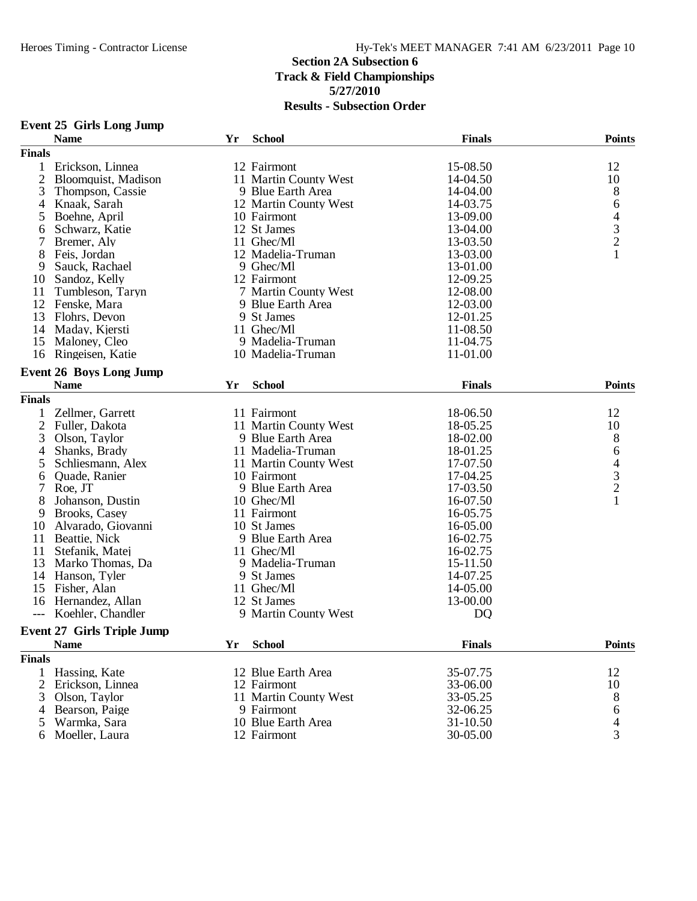|                | <b>Event 25 Girls Long Jump</b><br><b>Name</b> | Yr | <b>School</b>         | <b>Finals</b> | <b>Points</b>                              |
|----------------|------------------------------------------------|----|-----------------------|---------------|--------------------------------------------|
| <b>Finals</b>  |                                                |    |                       |               |                                            |
| $\mathbf{1}$   | Erickson, Linnea                               |    | 12 Fairmont           | 15-08.50      | 12                                         |
| $\overline{2}$ | Bloomquist, Madison                            |    | 11 Martin County West | 14-04.50      | 10                                         |
|                |                                                |    |                       |               |                                            |
| 3              | Thompson, Cassie                               |    | 9 Blue Earth Area     | 14-04.00      | 8                                          |
| 4              | Knaak, Sarah                                   |    | 12 Martin County West | 14-03.75      | 6                                          |
| 5              | Boehne, April                                  |    | 10 Fairmont           | 13-09.00      | $\overline{\mathcal{A}}$                   |
| 6              | Schwarz, Katie                                 |    | 12 St James           | 13-04.00      | $\begin{array}{c} 3 \\ 2 \\ 1 \end{array}$ |
| 7              | Bremer, Aly                                    |    | 11 Ghec/Ml            | 13-03.50      |                                            |
| 8              | Feis, Jordan                                   |    | 12 Madelia-Truman     | 13-03.00      |                                            |
| 9              | Sauck, Rachael                                 |    | 9 Ghec/M1             | 13-01.00      |                                            |
| 10             | Sandoz, Kelly                                  |    | 12 Fairmont           | 12-09.25      |                                            |
| 11             | Tumbleson, Taryn                               |    | 7 Martin County West  | 12-08.00      |                                            |
| 12             | Fenske, Mara                                   |    | 9 Blue Earth Area     | 12-03.00      |                                            |
| 13             | Flohrs, Devon                                  |    | 9 St James            | 12-01.25      |                                            |
| 14             | Maday, Kjersti                                 |    | 11 Ghec/Ml            | 11-08.50      |                                            |
| 15             | Maloney, Cleo                                  |    | 9 Madelia-Truman      | 11-04.75      |                                            |
| 16             | Ringeisen, Katie                               |    | 10 Madelia-Truman     | 11-01.00      |                                            |
|                | <b>Event 26 Boys Long Jump</b>                 |    |                       |               |                                            |
|                | <b>Name</b>                                    | Yr | <b>School</b>         | <b>Finals</b> | <b>Points</b>                              |
| <b>Finals</b>  |                                                |    |                       |               |                                            |
| 1              | Zellmer, Garrett                               |    | 11 Fairmont           | 18-06.50      | 12                                         |
| $\overline{2}$ | Fuller, Dakota                                 |    | 11 Martin County West | 18-05.25      | 10                                         |
| 3              | Olson, Taylor                                  |    | 9 Blue Earth Area     | 18-02.00      | 8                                          |
| 4              | Shanks, Brady                                  |    | 11 Madelia-Truman     | 18-01.25      | 6                                          |
| 5              | Schliesmann, Alex                              |    | 11 Martin County West | 17-07.50      |                                            |
| 6              | Quade, Ranier                                  |    | 10 Fairmont           | 17-04.25      |                                            |
| $\tau$         | Roe, JT                                        |    | 9 Blue Earth Area     | 17-03.50      | $\begin{array}{c} 4 \\ 3 \\ 2 \end{array}$ |
| 8              | Johanson, Dustin                               |    | 10 Ghec/Ml            | 16-07.50      | $\mathbf{1}$                               |
| 9              | Brooks, Casey                                  |    | 11 Fairmont           | 16-05.75      |                                            |
| 10             | Alvarado, Giovanni                             |    | 10 St James           | 16-05.00      |                                            |
| 11             | Beattie, Nick                                  |    | 9 Blue Earth Area     | 16-02.75      |                                            |
| 11             | Stefanik, Matej                                |    | 11 Ghec/Ml            | 16-02.75      |                                            |
| 13             | Marko Thomas, Da                               |    | 9 Madelia-Truman      | 15-11.50      |                                            |
|                | 14 Hanson, Tyler                               |    | 9 St James            | 14-07.25      |                                            |
| 15             | Fisher, Alan                                   |    | 11 Ghec/Ml            | 14-05.00      |                                            |
| 16             | Hernandez, Allan                               |    | 12 St James           | 13-00.00      |                                            |
| ---            | Koehler, Chandler                              |    | 9 Martin County West  | DQ            |                                            |
|                | <b>Event 27 Girls Triple Jump</b>              |    |                       |               |                                            |
|                | <b>Name</b>                                    | Yr | <b>School</b>         | <b>Finals</b> | <b>Points</b>                              |
| <b>Finals</b>  |                                                |    |                       |               |                                            |
| 1              | Hassing, Kate                                  |    | 12 Blue Earth Area    | 35-07.75      | 12                                         |
| 2              | Erickson, Linnea                               |    | 12 Fairmont           | 33-06.00      | 10                                         |
| 3              | Olson, Taylor                                  |    | 11 Martin County West | 33-05.25      | 8                                          |
| 4              | Bearson, Paige                                 |    | 9 Fairmont            | 32-06.25      | 6                                          |
| 5              | Warmka, Sara                                   |    | 10 Blue Earth Area    | 31-10.50      | $\overline{4}$                             |
|                | 6 Moeller, Laura                               |    | 12 Fairmont           | 30-05.00      | 3                                          |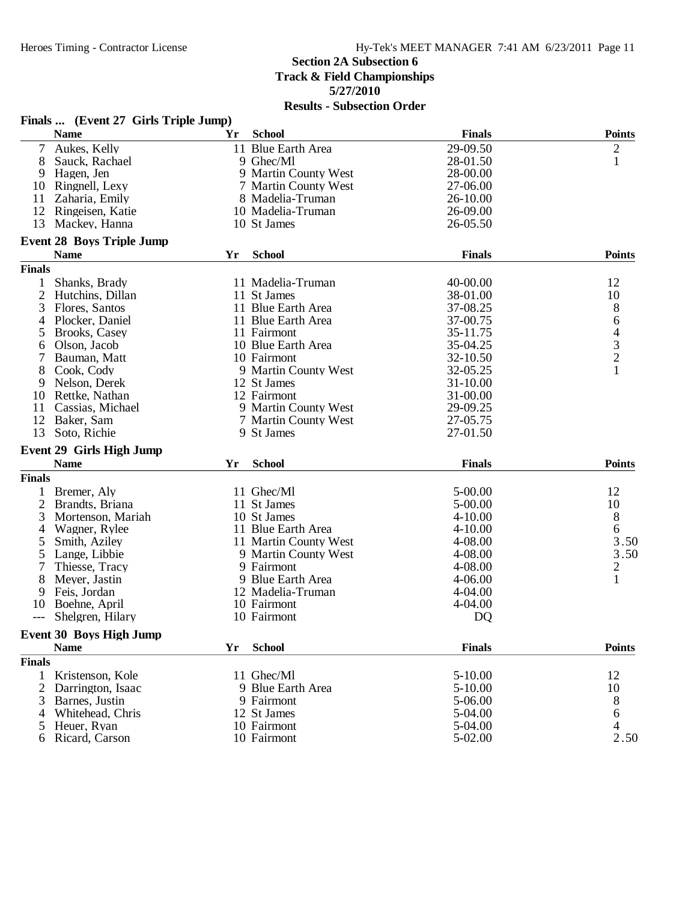|               | Finals  (Event 27 Girls Triple Jump) |    |                       |               |                                            |
|---------------|--------------------------------------|----|-----------------------|---------------|--------------------------------------------|
|               | <b>Name</b>                          | Yr | <b>School</b>         | <b>Finals</b> | <b>Points</b>                              |
| 7             | Aukes, Kelly                         |    | 11 Blue Earth Area    | 29-09.50      | 2                                          |
| 8             | Sauck, Rachael                       |    | 9 Ghec/Ml             | 28-01.50      | $\mathbf{1}$                               |
| 9             | Hagen, Jen                           |    | 9 Martin County West  | 28-00.00      |                                            |
| 10            | Ringnell, Lexy                       |    | 7 Martin County West  | 27-06.00      |                                            |
| 11            | Zaharia, Emily                       |    | 8 Madelia-Truman      | 26-10.00      |                                            |
| 12            | Ringeisen, Katie                     |    | 10 Madelia-Truman     | 26-09.00      |                                            |
| 13            | Mackey, Hanna                        |    | 10 St James           | 26-05.50      |                                            |
|               | <b>Event 28 Boys Triple Jump</b>     |    |                       |               |                                            |
|               | <b>Name</b>                          | Yr | <b>School</b>         | <b>Finals</b> | <b>Points</b>                              |
| <b>Finals</b> |                                      |    |                       |               |                                            |
| $\mathbf{1}$  | Shanks, Brady                        |    | 11 Madelia-Truman     | 40-00.00      | 12                                         |
| 2             |                                      |    |                       | 38-01.00      | 10                                         |
|               | Hutchins, Dillan                     |    | 11 St James           |               |                                            |
| 3             | Flores, Santos                       |    | 11 Blue Earth Area    | 37-08.25      | 8                                          |
| 4             | Plocker, Daniel                      |    | 11 Blue Earth Area    | 37-00.75      | 6                                          |
| 5             | Brooks, Casey                        |    | 11 Fairmont           | 35-11.75      | $\begin{array}{c} 4 \\ 3 \\ 2 \end{array}$ |
| 6             | Olson, Jacob                         |    | 10 Blue Earth Area    | 35-04.25      |                                            |
|               | Bauman, Matt                         |    | 10 Fairmont           | 32-10.50      |                                            |
| 8             | Cook, Cody                           |    | 9 Martin County West  | 32-05.25      | $\mathbf{1}$                               |
| 9             | Nelson, Derek                        |    | 12 St James           | 31-10.00      |                                            |
| 10            | Rettke, Nathan                       |    | 12 Fairmont           | 31-00.00      |                                            |
| 11            | Cassias, Michael                     |    | 9 Martin County West  | 29-09.25      |                                            |
| 12            | Baker, Sam                           |    | 7 Martin County West  | 27-05.75      |                                            |
| 13            | Soto, Richie                         |    | 9 St James            | 27-01.50      |                                            |
|               | <b>Event 29 Girls High Jump</b>      |    |                       |               |                                            |
|               | <b>Name</b>                          | Yr | <b>School</b>         | <b>Finals</b> | <b>Points</b>                              |
| <b>Finals</b> |                                      |    |                       |               |                                            |
| 1             | Bremer, Aly                          |    | 11 Ghec/Ml            | 5-00.00       | 12                                         |
| 2             | Brandts, Briana                      |    | 11 St James           | 5-00.00       | 10                                         |
| 3             | Mortenson, Mariah                    |    | 10 St James           | $4 - 10.00$   | 8                                          |
| 4             | Wagner, Rylee                        |    | 11 Blue Earth Area    | $4 - 10.00$   | 6                                          |
| 5             | Smith, Aziley                        |    | 11 Martin County West | 4-08.00       | 3.50                                       |
| 5             | Lange, Libbie                        |    | 9 Martin County West  | 4-08.00       | 3.50                                       |
| 7             | Thiesse, Tracy                       |    | 9 Fairmont            | 4-08.00       | $\overline{c}$                             |
| 8             | Meyer, Jastin                        |    | 9 Blue Earth Area     | $4 - 06.00$   | $\mathbf{1}$                               |
|               | Feis, Jordan                         |    | 12 Madelia-Truman     | 4-04.00       |                                            |
| 9             |                                      |    | 10 Fairmont           |               |                                            |
| 10            | Boehne, April                        |    |                       | 4-04.00       |                                            |
| ---           | Shelgren, Hilary                     |    | 10 Fairmont           | DQ            |                                            |
|               | <b>Event 30 Boys High Jump</b>       |    |                       |               |                                            |
|               | <b>Name</b>                          | Yr | <b>School</b>         | <b>Finals</b> | <b>Points</b>                              |
| <b>Finals</b> |                                      |    |                       |               |                                            |
| 1             | Kristenson, Kole                     |    | 11 Ghec/Ml            | $5 - 10.00$   | 12                                         |
| 2             | Darrington, Isaac                    |    | 9 Blue Earth Area     | $5 - 10.00$   | 10                                         |
| 3             | Barnes, Justin                       |    | 9 Fairmont            | 5-06.00       | 8                                          |
| 4             | Whitehead, Chris                     |    | 12 St James           | 5-04.00       | 6                                          |
| 5             | Heuer, Ryan                          |    | 10 Fairmont           | 5-04.00       | 4                                          |
| 6             | Ricard, Carson                       |    | 10 Fairmont           | 5-02.00       | 2.50                                       |
|               |                                      |    |                       |               |                                            |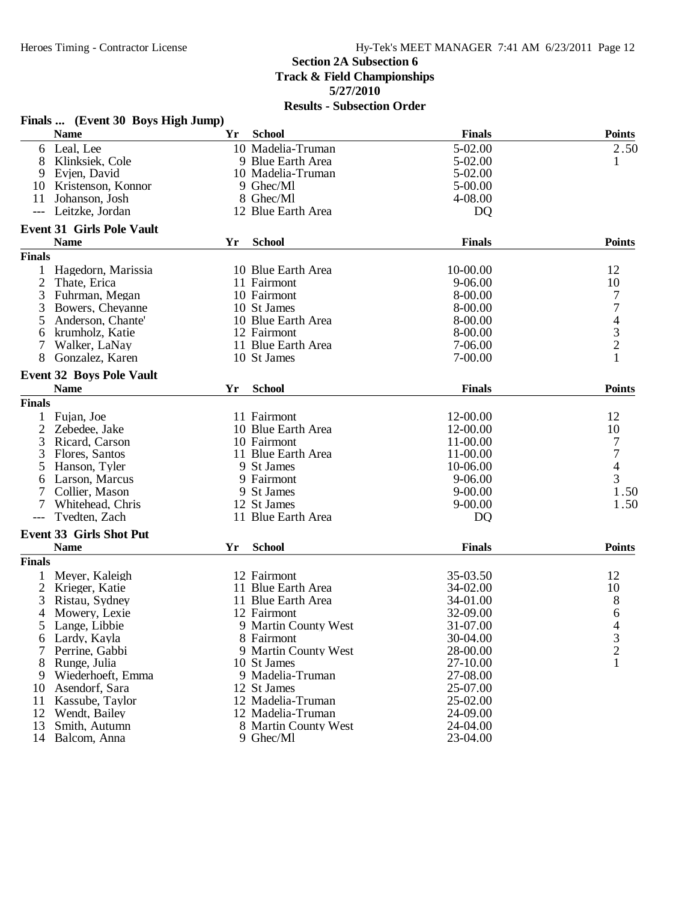|                | Finals  (Event 30 Boys High Jump) |    |                      |                |                                            |
|----------------|-----------------------------------|----|----------------------|----------------|--------------------------------------------|
|                | <b>Name</b>                       | Yr | <b>School</b>        | <b>Finals</b>  | <b>Points</b>                              |
| 6              | Leal, Lee                         |    | 10 Madelia-Truman    | 5-02.00        | 2.50                                       |
| 8              | Klinksiek, Cole                   |    | 9 Blue Earth Area    | 5-02.00        | 1                                          |
| 9              | Evjen, David                      |    | 10 Madelia-Truman    | 5-02.00        |                                            |
| 10             | Kristenson, Konnor                |    | 9 Ghec/Ml            | 5-00.00        |                                            |
| 11             | Johanson, Josh                    |    | 8 Ghec/Ml            | 4-08.00        |                                            |
|                | Leitzke, Jordan                   |    | 12 Blue Earth Area   | D <sub>Q</sub> |                                            |
|                | <b>Event 31 Girls Pole Vault</b>  |    |                      |                |                                            |
|                | <b>Name</b>                       | Yr | <b>School</b>        | <b>Finals</b>  | <b>Points</b>                              |
| <b>Finals</b>  |                                   |    |                      |                |                                            |
|                | Hagedorn, Marissia                |    | 10 Blue Earth Area   | 10-00.00       | 12                                         |
| 2              | Thate, Erica                      |    | 11 Fairmont          | 9-06.00        | 10                                         |
| 3              | Fuhrman, Megan                    |    | 10 Fairmont          | 8-00.00        | 7                                          |
| 3              | Bowers, Cheyanne                  |    | 10 St James          | 8-00.00        | $\overline{7}$                             |
| 5              | Anderson, Chante'                 |    | 10 Blue Earth Area   | 8-00.00        |                                            |
| 6              | krumholz, Katie                   |    | 12 Fairmont          | 8-00.00        | $\begin{array}{c} 4 \\ 3 \\ 2 \end{array}$ |
| 7              | Walker, LaNay                     |    | 11 Blue Earth Area   | 7-06.00        |                                            |
| 8              | Gonzalez, Karen                   |    | 10 St James          | 7-00.00        | 1                                          |
|                | <b>Event 32 Boys Pole Vault</b>   |    |                      |                |                                            |
|                | <b>Name</b>                       | Yr | <b>School</b>        | <b>Finals</b>  | <b>Points</b>                              |
| <b>Finals</b>  |                                   |    |                      |                |                                            |
| 1              | Fujan, Joe                        |    | 11 Fairmont          | 12-00.00       | 12                                         |
| 2              | Zebedee, Jake                     |    | 10 Blue Earth Area   | 12-00.00       | 10                                         |
| 3              | Ricard, Carson                    |    | 10 Fairmont          | 11-00.00       | $\overline{7}$                             |
| 3              | Flores, Santos                    |    | 11 Blue Earth Area   | 11-00.00       | $\overline{7}$                             |
| 5              | Hanson, Tyler                     |    | 9 St James           | 10-06.00       | $\overline{\mathcal{L}}$                   |
|                |                                   |    | 9 Fairmont           | 9-06.00        | 3                                          |
| 6              | Larson, Marcus                    |    |                      |                |                                            |
|                | Collier, Mason                    |    | 9 St James           | $9 - 00.00$    | 1.50                                       |
|                | Whitehead, Chris                  |    | 12 St James          | $9 - 00.00$    | 1.50                                       |
|                | Tvedten, Zach                     |    | 11 Blue Earth Area   | D <sub>Q</sub> |                                            |
|                | <b>Event 33 Girls Shot Put</b>    |    |                      |                |                                            |
|                | <b>Name</b>                       | Yr | <b>School</b>        | <b>Finals</b>  | <b>Points</b>                              |
| <b>Finals</b>  |                                   |    |                      |                |                                            |
|                | Meyer, Kaleigh                    |    | 12 Fairmont          | 35-03.50       | 12                                         |
| $\overline{2}$ | Krieger, Katie                    |    | 11 Blue Earth Area   | 34-02.00       | 10                                         |
| 3              | Ristau, Sydney                    |    | 11 Blue Earth Area   | 34-01.00       | 8                                          |
| 4              | Mowery, Lexie                     |    | 12 Fairmont          | 32-09.00       | 6                                          |
| 5              | Lange, Libbie                     |    | 9 Martin County West | 31-07.00       | 4                                          |
| 6              | Lardy, Kayla                      |    | 8 Fairmont           | 30-04.00       | 3                                          |
|                | Perrine, Gabbi                    |    | 9 Martin County West | 28-00.00       | $\frac{2}{1}$                              |
| 8              | Runge, Julia                      |    | 10 St James          | 27-10.00       |                                            |
| 9              | Wiederhoeft, Emma                 |    | 9 Madelia-Truman     | 27-08.00       |                                            |
| 10             | Asendorf, Sara                    |    | 12 St James          | 25-07.00       |                                            |
| 11             | Kassube, Taylor                   |    | 12 Madelia-Truman    | 25-02.00       |                                            |
| 12             | Wendt, Bailey                     |    | 12 Madelia-Truman    | 24-09.00       |                                            |
| 13             | Smith, Autumn                     |    | 8 Martin County West | 24-04.00       |                                            |
| 14             | Balcom, Anna                      |    | 9 Ghec/Ml            | 23-04.00       |                                            |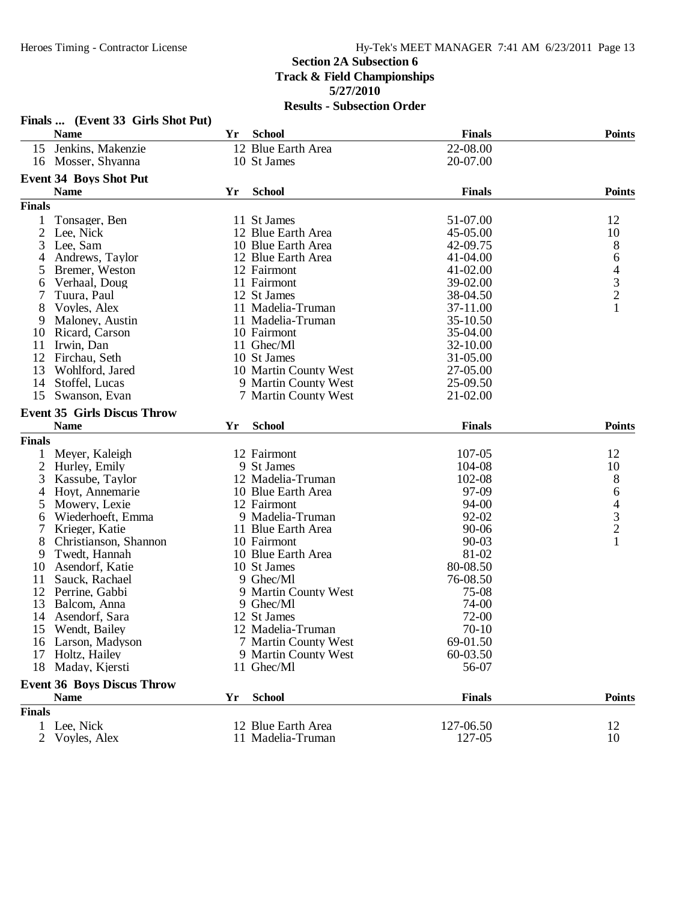|                | Finals  (Event 33 Girls Shot Put)  |     | - DUDSCCHUIL OT       |               |                                            |
|----------------|------------------------------------|-----|-----------------------|---------------|--------------------------------------------|
|                | <b>Name</b>                        | Yr  | <b>School</b>         | <b>Finals</b> | <b>Points</b>                              |
|                | 15 Jenkins, Makenzie               |     | 12 Blue Earth Area    | 22-08.00      |                                            |
|                | 16 Mosser, Shyanna                 |     | 10 St James           | 20-07.00      |                                            |
|                | <b>Event 34 Boys Shot Put</b>      |     |                       |               |                                            |
|                | <b>Name</b>                        | Yr  | <b>School</b>         | <b>Finals</b> | <b>Points</b>                              |
| <b>Finals</b>  |                                    |     |                       |               |                                            |
| 1              | Tonsager, Ben                      |     | 11 St James           | 51-07.00      | 12                                         |
| $\overline{c}$ | Lee, Nick                          |     | 12 Blue Earth Area    | 45-05.00      | 10                                         |
| 3              | Lee, Sam                           |     | 10 Blue Earth Area    | 42-09.75      | 8                                          |
| 4              | Andrews, Taylor                    |     | 12 Blue Earth Area    | 41-04.00      | 6                                          |
| 5              | Bremer, Weston                     |     | 12 Fairmont           | 41-02.00      |                                            |
| 6              | Verhaal, Doug                      |     | 11 Fairmont           | 39-02.00      | $\begin{array}{c} 4 \\ 3 \\ 2 \end{array}$ |
| 7              | Tuura, Paul                        |     | 12 St James           | 38-04.50      |                                            |
| 8              | Voyles, Alex                       |     | 11 Madelia-Truman     | 37-11.00      | $\mathbf{1}$                               |
| 9              | Maloney, Austin                    |     | 11 Madelia-Truman     | 35-10.50      |                                            |
| 10             | Ricard, Carson                     |     | 10 Fairmont           | 35-04.00      |                                            |
| 11             | Irwin, Dan                         |     | 11 Ghec/Ml            | 32-10.00      |                                            |
| 12             | Firchau, Seth                      |     | 10 St James           | 31-05.00      |                                            |
| 13             | Wohlford, Jared                    |     | 10 Martin County West | 27-05.00      |                                            |
| 14             | Stoffel, Lucas                     |     | 9 Martin County West  | 25-09.50      |                                            |
| 15             | Swanson, Evan                      |     | 7 Martin County West  | 21-02.00      |                                            |
|                | <b>Event 35 Girls Discus Throw</b> |     |                       |               |                                            |
|                | <b>Name</b>                        | Yr. | <b>School</b>         | <b>Finals</b> | <b>Points</b>                              |
| <b>Finals</b>  |                                    |     |                       |               |                                            |
| 1              | Meyer, Kaleigh                     |     | 12 Fairmont           | 107-05        | 12                                         |
| $\overline{2}$ | Hurley, Emily                      |     | 9 St James            | 104-08        | 10                                         |
| 3              | Kassube, Taylor                    |     | 12 Madelia-Truman     | 102-08        | 8                                          |
| 4              | Hoyt, Annemarie                    |     | 10 Blue Earth Area    | 97-09         | 6                                          |
| 5              | Mowery, Lexie                      |     | 12 Fairmont           | 94-00         |                                            |
| 6              | Wiederhoeft, Emma                  |     | 9 Madelia-Truman      | 92-02         |                                            |
| 7              | Krieger, Katie                     |     | 11 Blue Earth Area    | 90-06         | $\begin{array}{c} 4 \\ 3 \\ 2 \end{array}$ |
| 8              | Christianson, Shannon              |     | 10 Fairmont           | $90 - 03$     | $\mathbf{1}$                               |
| 9              | Twedt, Hannah                      |     | 10 Blue Earth Area    | 81-02         |                                            |
| 10             | Asendorf, Katie                    |     | 10 St James           | 80-08.50      |                                            |
| 11             | Sauck, Rachael                     |     | 9 Ghec/Ml             | 76-08.50      |                                            |
| 12             | Perrine, Gabbi                     |     | 9 Martin County West  | 75-08         |                                            |
| 13             | Balcom, Anna                       |     | 9 Ghec/Ml             | 74-00         |                                            |
| 14             | Asendorf, Sara                     |     | 12 St James           | 72-00         |                                            |
|                | 15 Wendt, Bailey                   |     | 12 Madelia-Truman     | $70-10$       |                                            |
| 16             | Larson, Madyson                    |     | 7 Martin County West  | 69-01.50      |                                            |
| 17             | Holtz, Hailey                      |     | 9 Martin County West  | 60-03.50      |                                            |
| 18             | Maday, Kjersti                     |     | 11 Ghec/Ml            | 56-07         |                                            |
|                | <b>Event 36 Boys Discus Throw</b>  |     |                       |               |                                            |
|                | <b>Name</b>                        | Yr  | <b>School</b>         | <b>Finals</b> | <b>Points</b>                              |
| <b>Finals</b>  |                                    |     |                       |               |                                            |
|                | 1 Lee, Nick                        |     | 12 Blue Earth Area    | 127-06.50     | 12                                         |
| 2              | Voyles, Alex                       |     | 11 Madelia-Truman     | 127-05        | 10                                         |